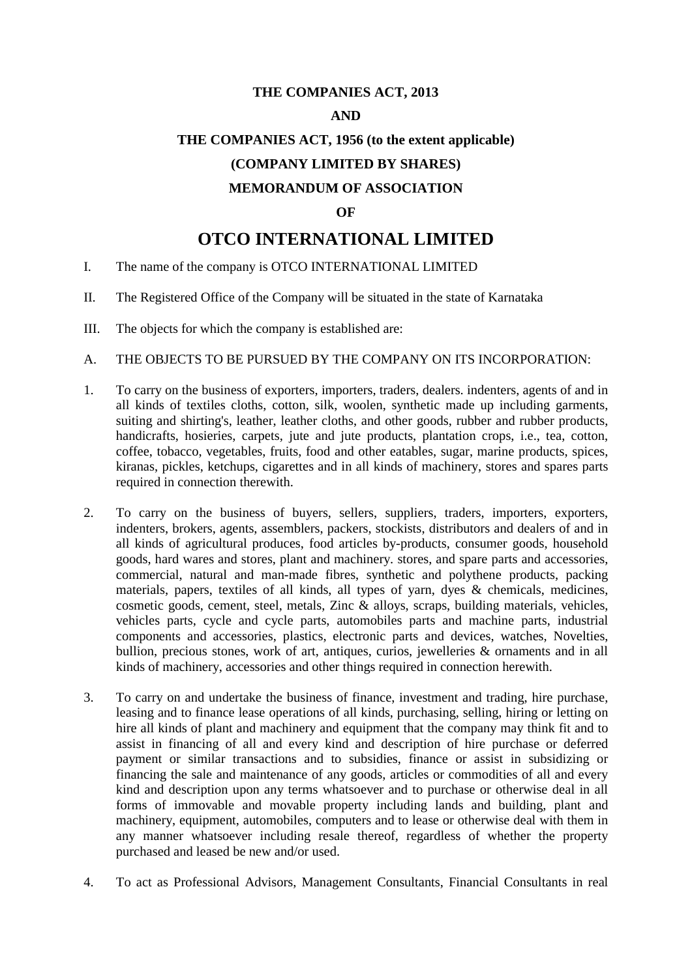## **THE COMPANIES ACT, 2013**

### **AND**

# **THE COMPANIES ACT, 1956 (to the extent applicable) (COMPANY LIMITED BY SHARES)**

## **MEMORANDUM OF ASSOCIATION**

#### **OF**

## **OTCO INTERNATIONAL LIMITED**

- I. The name of the company is OTCO INTERNATIONAL LIMITED
- II. The Registered Office of the Company will be situated in the state of Karnataka
- III. The objects for which the company is established are:
- A. THE OBJECTS TO BE PURSUED BY THE COMPANY ON ITS INCORPORATION:
- 1. To carry on the business of exporters, importers, traders, dealers. indenters, agents of and in all kinds of textiles cloths, cotton, silk, woolen, synthetic made up including garments, suiting and shirting's, leather, leather cloths, and other goods, rubber and rubber products, handicrafts, hosieries, carpets, jute and jute products, plantation crops, i.e., tea, cotton, coffee, tobacco, vegetables, fruits, food and other eatables, sugar, marine products, spices, kiranas, pickles, ketchups, cigarettes and in all kinds of machinery, stores and spares parts required in connection therewith.
- 2. To carry on the business of buyers, sellers, suppliers, traders, importers, exporters, indenters, brokers, agents, assemblers, packers, stockists, distributors and dealers of and in all kinds of agricultural produces, food articles by-products, consumer goods, household goods, hard wares and stores, plant and machinery. stores, and spare parts and accessories, commercial, natural and man-made fibres, synthetic and polythene products, packing materials, papers, textiles of all kinds, all types of yarn, dyes & chemicals, medicines, cosmetic goods, cement, steel, metals, Zinc & alloys, scraps, building materials, vehicles, vehicles parts, cycle and cycle parts, automobiles parts and machine parts, industrial components and accessories, plastics, electronic parts and devices, watches, Novelties, bullion, precious stones, work of art, antiques, curios, jewelleries & ornaments and in all kinds of machinery, accessories and other things required in connection herewith.
- 3. To carry on and undertake the business of finance, investment and trading, hire purchase, leasing and to finance lease operations of all kinds, purchasing, selling, hiring or letting on hire all kinds of plant and machinery and equipment that the company may think fit and to assist in financing of all and every kind and description of hire purchase or deferred payment or similar transactions and to subsidies, finance or assist in subsidizing or financing the sale and maintenance of any goods, articles or commodities of all and every kind and description upon any terms whatsoever and to purchase or otherwise deal in all forms of immovable and movable property including lands and building, plant and machinery, equipment, automobiles, computers and to lease or otherwise deal with them in any manner whatsoever including resale thereof, regardless of whether the property purchased and leased be new and/or used.
- 4. To act as Professional Advisors, Management Consultants, Financial Consultants in real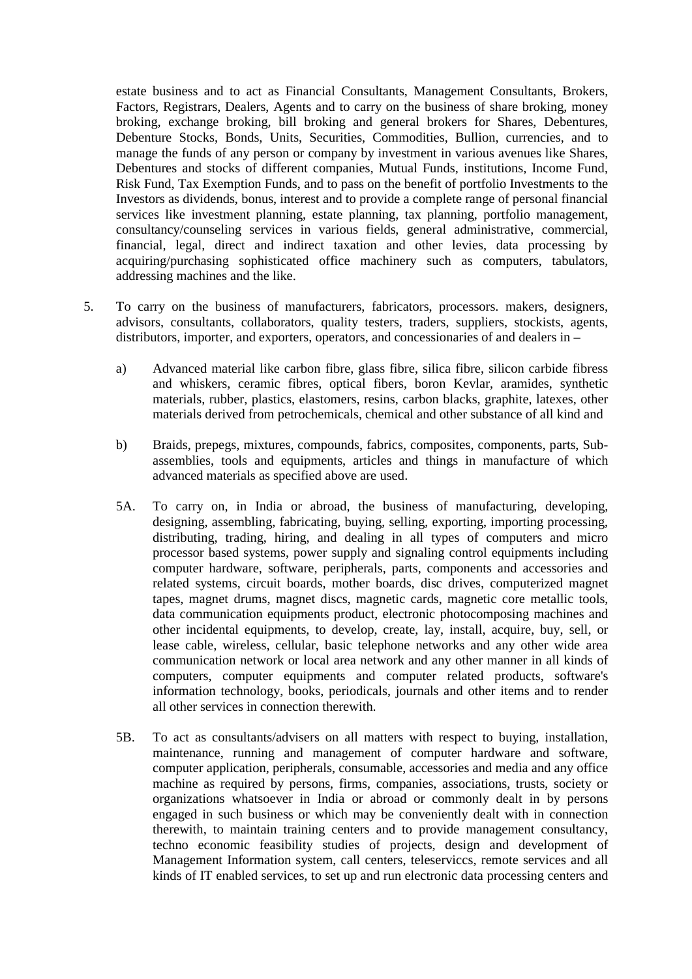estate business and to act as Financial Consultants, Management Consultants, Brokers, Factors, Registrars, Dealers, Agents and to carry on the business of share broking, money broking, exchange broking, bill broking and general brokers for Shares, Debentures, Debenture Stocks, Bonds, Units, Securities, Commodities, Bullion, currencies, and to manage the funds of any person or company by investment in various avenues like Shares, Debentures and stocks of different companies, Mutual Funds, institutions, Income Fund, Risk Fund, Tax Exemption Funds, and to pass on the benefit of portfolio Investments to the Investors as dividends, bonus, interest and to provide a complete range of personal financial services like investment planning, estate planning, tax planning, portfolio management, consultancy/counseling services in various fields, general administrative, commercial, financial, legal, direct and indirect taxation and other levies, data processing by acquiring/purchasing sophisticated office machinery such as computers, tabulators, addressing machines and the like.

- 5. To carry on the business of manufacturers, fabricators, processors. makers, designers, advisors, consultants, collaborators, quality testers, traders, suppliers, stockists, agents, distributors, importer, and exporters, operators, and concessionaries of and dealers in –
	- a) Advanced material like carbon fibre, glass fibre, silica fibre, silicon carbide fibress and whiskers, ceramic fibres, optical fibers, boron Kevlar, aramides, synthetic materials, rubber, plastics, elastomers, resins, carbon blacks, graphite, latexes, other materials derived from petrochemicals, chemical and other substance of all kind and
	- b) Braids, prepegs, mixtures, compounds, fabrics, composites, components, parts, Subassemblies, tools and equipments, articles and things in manufacture of which advanced materials as specified above are used.
	- 5A. To carry on, in India or abroad, the business of manufacturing, developing, designing, assembling, fabricating, buying, selling, exporting, importing processing, distributing, trading, hiring, and dealing in all types of computers and micro processor based systems, power supply and signaling control equipments including computer hardware, software, peripherals, parts, components and accessories and related systems, circuit boards, mother boards, disc drives, computerized magnet tapes, magnet drums, magnet discs, magnetic cards, magnetic core metallic tools, data communication equipments product, electronic photocomposing machines and other incidental equipments, to develop, create, lay, install, acquire, buy, sell, or lease cable, wireless, cellular, basic telephone networks and any other wide area communication network or local area network and any other manner in all kinds of computers, computer equipments and computer related products, software's information technology, books, periodicals, journals and other items and to render all other services in connection therewith.
	- 5B. To act as consultants/advisers on all matters with respect to buying, installation, maintenance, running and management of computer hardware and software, computer application, peripherals, consumable, accessories and media and any office machine as required by persons, firms, companies, associations, trusts, society or organizations whatsoever in India or abroad or commonly dealt in by persons engaged in such business or which may be conveniently dealt with in connection therewith, to maintain training centers and to provide management consultancy, techno economic feasibility studies of projects, design and development of Management Information system, call centers, teleserviccs, remote services and all kinds of IT enabled services, to set up and run electronic data processing centers and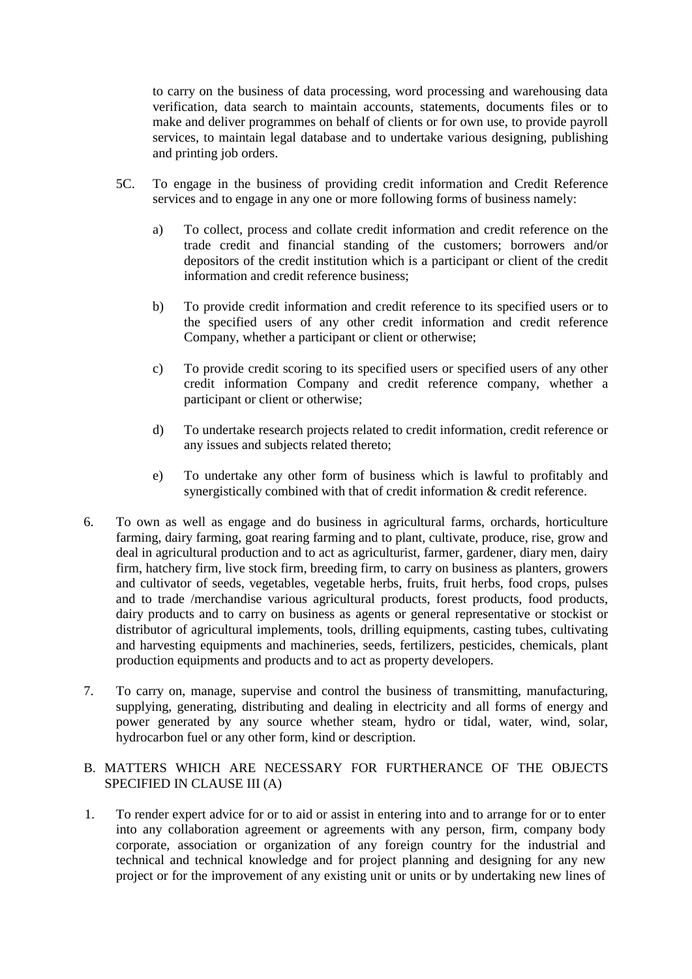to carry on the business of data processing, word processing and warehousing data verification, data search to maintain accounts, statements, documents files or to make and deliver programmes on behalf of clients or for own use, to provide payroll services, to maintain legal database and to undertake various designing, publishing and printing job orders.

- 5C. To engage in the business of providing credit information and Credit Reference services and to engage in any one or more following forms of business namely:
	- a) To collect, process and collate credit information and credit reference on the trade credit and financial standing of the customers; borrowers and/or depositors of the credit institution which is a participant or client of the credit information and credit reference business;
	- b) To provide credit information and credit reference to its specified users or to the specified users of any other credit information and credit reference Company, whether a participant or client or otherwise;
	- c) To provide credit scoring to its specified users or specified users of any other credit information Company and credit reference company, whether a participant or client or otherwise;
	- d) To undertake research projects related to credit information, credit reference or any issues and subjects related thereto;
	- e) To undertake any other form of business which is lawful to profitably and synergistically combined with that of credit information & credit reference.
- 6. To own as well as engage and do business in agricultural farms, orchards, horticulture farming, dairy farming, goat rearing farming and to plant, cultivate, produce, rise, grow and deal in agricultural production and to act as agriculturist, farmer, gardener, diary men, dairy firm, hatchery firm, live stock firm, breeding firm, to carry on business as planters, growers and cultivator of seeds, vegetables, vegetable herbs, fruits, fruit herbs, food crops, pulses and to trade /merchandise various agricultural products, forest products, food products, dairy products and to carry on business as agents or general representative or stockist or distributor of agricultural implements, tools, drilling equipments, casting tubes, cultivating and harvesting equipments and machineries, seeds, fertilizers, pesticides, chemicals, plant production equipments and products and to act as property developers.
- 7. To carry on, manage, supervise and control the business of transmitting, manufacturing, supplying, generating, distributing and dealing in electricity and all forms of energy and power generated by any source whether steam, hydro or tidal, water, wind, solar, hydrocarbon fuel or any other form, kind or description.

## B. MATTERS WHICH ARE NECESSARY FOR FURTHERANCE OF THE OBJECTS SPECIFIED IN CLAUSE III (A)

1. To render expert advice for or to aid or assist in entering into and to arrange for or to enter into any collaboration agreement or agreements with any person, firm, company body corporate, association or organization of any foreign country for the industrial and technical and technical knowledge and for project planning and designing for any new project or for the improvement of any existing unit or units or by undertaking new lines of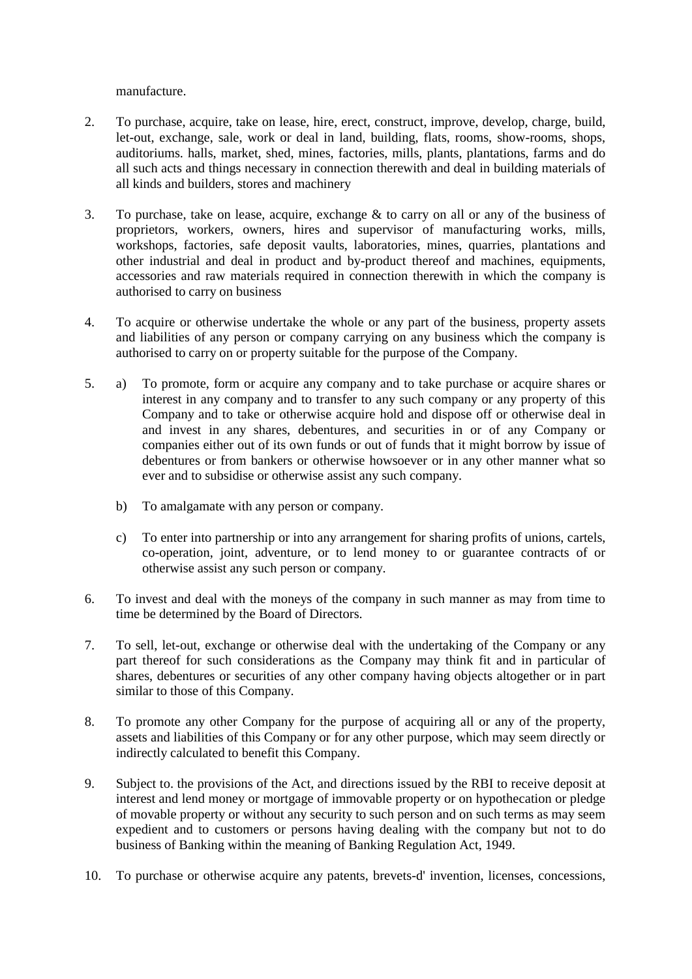manufacture.

- 2. To purchase, acquire, take on lease, hire, erect, construct, improve, develop, charge, build, let-out, exchange, sale, work or deal in land, building, flats, rooms, show-rooms, shops, auditoriums. halls, market, shed, mines, factories, mills, plants, plantations, farms and do all such acts and things necessary in connection therewith and deal in building materials of all kinds and builders, stores and machinery
- 3. To purchase, take on lease, acquire, exchange & to carry on all or any of the business of proprietors, workers, owners, hires and supervisor of manufacturing works, mills, workshops, factories, safe deposit vaults, laboratories, mines, quarries, plantations and other industrial and deal in product and by-product thereof and machines, equipments, accessories and raw materials required in connection therewith in which the company is authorised to carry on business
- 4. To acquire or otherwise undertake the whole or any part of the business, property assets and liabilities of any person or company carrying on any business which the company is authorised to carry on or property suitable for the purpose of the Company.
- 5. a) To promote, form or acquire any company and to take purchase or acquire shares or interest in any company and to transfer to any such company or any property of this Company and to take or otherwise acquire hold and dispose off or otherwise deal in and invest in any shares, debentures, and securities in or of any Company or companies either out of its own funds or out of funds that it might borrow by issue of debentures or from bankers or otherwise howsoever or in any other manner what so ever and to subsidise or otherwise assist any such company.
	- b) To amalgamate with any person or company.
	- c) To enter into partnership or into any arrangement for sharing profits of unions, cartels, co-operation, joint, adventure, or to lend money to or guarantee contracts of or otherwise assist any such person or company.
- 6. To invest and deal with the moneys of the company in such manner as may from time to time be determined by the Board of Directors.
- 7. To sell, let-out, exchange or otherwise deal with the undertaking of the Company or any part thereof for such considerations as the Company may think fit and in particular of shares, debentures or securities of any other company having objects altogether or in part similar to those of this Company.
- 8. To promote any other Company for the purpose of acquiring all or any of the property, assets and liabilities of this Company or for any other purpose, which may seem directly or indirectly calculated to benefit this Company.
- 9. Subject to. the provisions of the Act, and directions issued by the RBI to receive deposit at interest and lend money or mortgage of immovable property or on hypothecation or pledge of movable property or without any security to such person and on such terms as may seem expedient and to customers or persons having dealing with the company but not to do business of Banking within the meaning of Banking Regulation Act, 1949.
- 10. To purchase or otherwise acquire any patents, brevets-d' invention, licenses, concessions,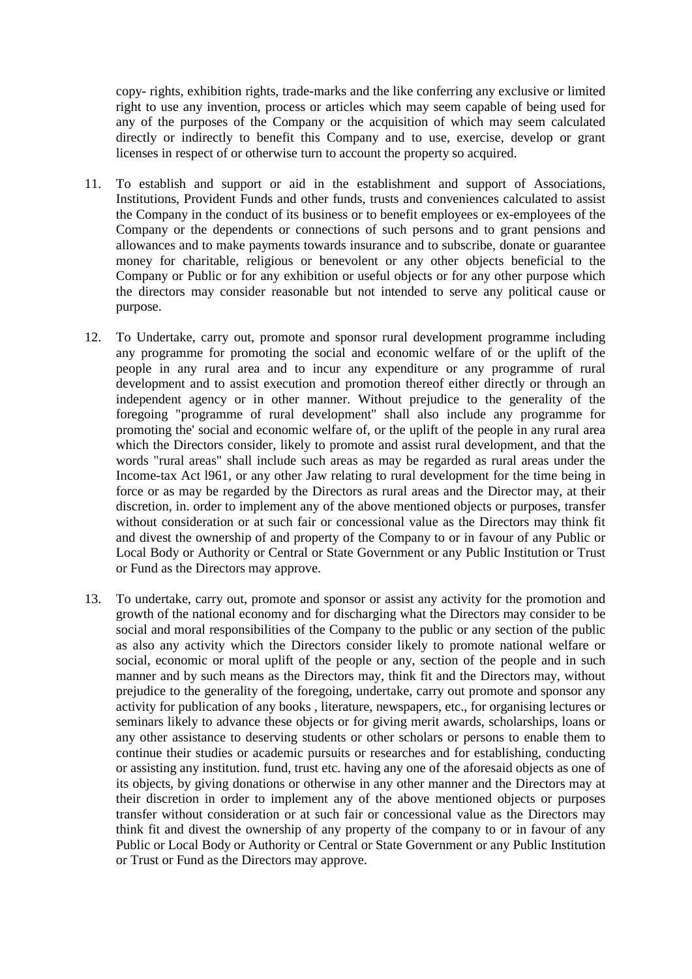copy- rights, exhibition rights, trade-marks and the like conferring any exclusive or limited right to use any invention, process or articles which may seem capable of being used for any of the purposes of the Company or the acquisition of which may seem calculated directly or indirectly to benefit this Company and to use, exercise, develop or grant licenses in respect of or otherwise turn to account the property so acquired.

- 11. To establish and support or aid in the establishment and support of Associations, Institutions, Provident Funds and other funds, trusts and conveniences calculated to assist the Company in the conduct of its business or to benefit employees or ex-employees of the Company or the dependents or connections of such persons and to grant pensions and allowances and to make payments towards insurance and to subscribe, donate or guarantee money for charitable, religious or benevolent or any other objects beneficial to the Company or Public or for any exhibition or useful objects or for any other purpose which the directors may consider reasonable but not intended to serve any political cause or purpose.
- 12. To Undertake, carry out, promote and sponsor rural development programme including any programme for promoting the social and economic welfare of or the uplift of the people in any rural area and to incur any expenditure or any programme of rural development and to assist execution and promotion thereof either directly or through an independent agency or in other manner. Without prejudice to the generality of the foregoing "programme of rural development" shall also include any programme for promoting the' social and economic welfare of, or the uplift of the people in any rural area which the Directors consider, likely to promote and assist rural development, and that the words "rural areas" shall include such areas as may be regarded as rural areas under the Income-tax Act l961, or any other Jaw relating to rural development for the time being in force or as may be regarded by the Directors as rural areas and the Director may, at their discretion, in. order to implement any of the above mentioned objects or purposes, transfer without consideration or at such fair or concessional value as the Directors may think fit and divest the ownership of and property of the Company to or in favour of any Public or Local Body or Authority or Central or State Government or any Public Institution or Trust or Fund as the Directors may approve.
- 13. To undertake, carry out, promote and sponsor or assist any activity for the promotion and growth of the national economy and for discharging what the Directors may consider to be social and moral responsibilities of the Company to the public or any section of the public as also any activity which the Directors consider likely to promote national welfare or social, economic or moral uplift of the people or any, section of the people and in such manner and by such means as the Directors may, think fit and the Directors may, without prejudice to the generality of the foregoing, undertake, carry out promote and sponsor any activity for publication of any books , literature, newspapers, etc., for organising lectures or seminars likely to advance these objects or for giving merit awards, scholarships, loans or any other assistance to deserving students or other scholars or persons to enable them to continue their studies or academic pursuits or researches and for establishing, conducting or assisting any institution. fund, trust etc. having any one of the aforesaid objects as one of its objects, by giving donations or otherwise in any other manner and the Directors may at their discretion in order to implement any of the above mentioned objects or purposes transfer without consideration or at such fair or concessional value as the Directors may think fit and divest the ownership of any property of the company to or in favour of any Public or Local Body or Authority or Central or State Government or any Public Institution or Trust or Fund as the Directors may approve.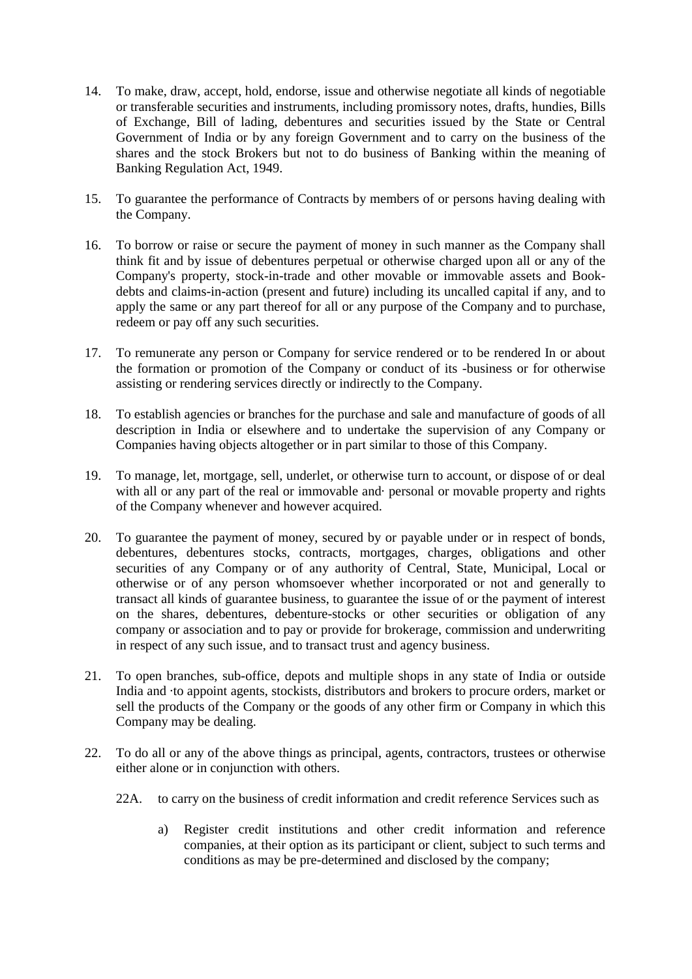- 14. To make, draw, accept, hold, endorse, issue and otherwise negotiate all kinds of negotiable or transferable securities and instruments, including promissory notes, drafts, hundies, Bills of Exchange, Bill of lading, debentures and securities issued by the State or Central Government of India or by any foreign Government and to carry on the business of the shares and the stock Brokers but not to do business of Banking within the meaning of Banking Regulation Act, 1949.
- 15. To guarantee the performance of Contracts by members of or persons having dealing with the Company.
- 16. To borrow or raise or secure the payment of money in such manner as the Company shall think fit and by issue of debentures perpetual or otherwise charged upon all or any of the Company's property, stock-in-trade and other movable or immovable assets and Bookdebts and claims-in-action (present and future) including its uncalled capital if any, and to apply the same or any part thereof for all or any purpose of the Company and to purchase, redeem or pay off any such securities.
- 17. To remunerate any person or Company for service rendered or to be rendered In or about the formation or promotion of the Company or conduct of its -business or for otherwise assisting or rendering services directly or indirectly to the Company.
- 18. To establish agencies or branches for the purchase and sale and manufacture of goods of all description in India or elsewhere and to undertake the supervision of any Company or Companies having objects altogether or in part similar to those of this Company.
- 19. To manage, let, mortgage, sell, underlet, or otherwise turn to account, or dispose of or deal with all or any part of the real or immovable and· personal or movable property and rights of the Company whenever and however acquired.
- 20. To guarantee the payment of money, secured by or payable under or in respect of bonds, debentures, debentures stocks, contracts, mortgages, charges, obligations and other securities of any Company or of any authority of Central, State, Municipal, Local or otherwise or of any person whomsoever whether incorporated or not and generally to transact all kinds of guarantee business, to guarantee the issue of or the payment of interest on the shares, debentures, debenture-stocks or other securities or obligation of any company or association and to pay or provide for brokerage, commission and underwriting in respect of any such issue, and to transact trust and agency business.
- 21. To open branches, sub-office, depots and multiple shops in any state of India or outside India and ·to appoint agents, stockists, distributors and brokers to procure orders, market or sell the products of the Company or the goods of any other firm or Company in which this Company may be dealing.
- 22. To do all or any of the above things as principal, agents, contractors, trustees or otherwise either alone or in conjunction with others.
	- 22A. to carry on the business of credit information and credit reference Services such as
		- a) Register credit institutions and other credit information and reference companies, at their option as its participant or client, subject to such terms and conditions as may be pre-determined and disclosed by the company;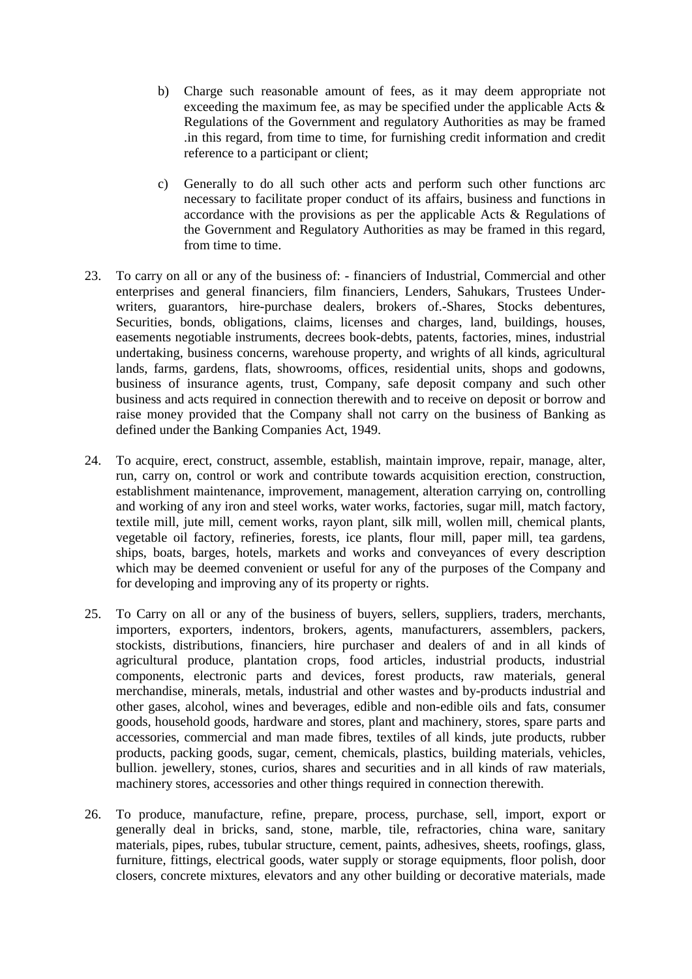- b) Charge such reasonable amount of fees, as it may deem appropriate not exceeding the maximum fee, as may be specified under the applicable Acts  $\&$ Regulations of the Government and regulatory Authorities as may be framed .in this regard, from time to time, for furnishing credit information and credit reference to a participant or client;
- c) Generally to do all such other acts and perform such other functions arc necessary to facilitate proper conduct of its affairs, business and functions in accordance with the provisions as per the applicable Acts & Regulations of the Government and Regulatory Authorities as may be framed in this regard, from time to time.
- 23. To carry on all or any of the business of: financiers of Industrial, Commercial and other enterprises and general financiers, film financiers, Lenders, Sahukars, Trustees Underwriters, guarantors, hire-purchase dealers, brokers of Shares, Stocks debentures, Securities, bonds, obligations, claims, licenses and charges, land, buildings, houses, easements negotiable instruments, decrees book-debts, patents, factories, mines, industrial undertaking, business concerns, warehouse property, and wrights of all kinds, agricultural lands, farms, gardens, flats, showrooms, offices, residential units, shops and godowns, business of insurance agents, trust, Company, safe deposit company and such other business and acts required in connection therewith and to receive on deposit or borrow and raise money provided that the Company shall not carry on the business of Banking as defined under the Banking Companies Act, 1949.
- 24. To acquire, erect, construct, assemble, establish, maintain improve, repair, manage, alter, run, carry on, control or work and contribute towards acquisition erection, construction, establishment maintenance, improvement, management, alteration carrying on, controlling and working of any iron and steel works, water works, factories, sugar mill, match factory, textile mill, jute mill, cement works, rayon plant, silk mill, wollen mill, chemical plants, vegetable oil factory, refineries, forests, ice plants, flour mill, paper mill, tea gardens, ships, boats, barges, hotels, markets and works and conveyances of every description which may be deemed convenient or useful for any of the purposes of the Company and for developing and improving any of its property or rights.
- 25. To Carry on all or any of the business of buyers, sellers, suppliers, traders, merchants, importers, exporters, indentors, brokers, agents, manufacturers, assemblers, packers, stockists, distributions, financiers, hire purchaser and dealers of and in all kinds of agricultural produce, plantation crops, food articles, industrial products, industrial components, electronic parts and devices, forest products, raw materials, general merchandise, minerals, metals, industrial and other wastes and by-products industrial and other gases, alcohol, wines and beverages, edible and non-edible oils and fats, consumer goods, household goods, hardware and stores, plant and machinery, stores, spare parts and accessories, commercial and man made fibres, textiles of all kinds, jute products, rubber products, packing goods, sugar, cement, chemicals, plastics, building materials, vehicles, bullion. jewellery, stones, curios, shares and securities and in all kinds of raw materials, machinery stores, accessories and other things required in connection therewith.
- 26. To produce, manufacture, refine, prepare, process, purchase, sell, import, export or generally deal in bricks, sand, stone, marble, tile, refractories, china ware, sanitary materials, pipes, rubes, tubular structure, cement, paints, adhesives, sheets, roofings, glass, furniture, fittings, electrical goods, water supply or storage equipments, floor polish, door closers, concrete mixtures, elevators and any other building or decorative materials, made